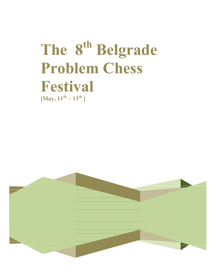# The 8<sup>th</sup> Belgrade **Problem Chess Festival**   $[May, 11^{th} - 13^{th}]$

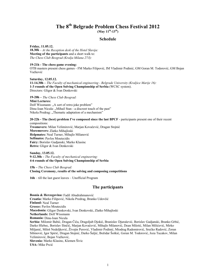# **The 8th Belgrade Problem Chess Festival 2012**

**(May 11th-13th)** 

## **Schedule**

**Friday, 11.05.12. 18.30h** – *At the Reception desk of the Hotel Slavija:* **Meeting of the participants** and a short walk to: *The Chess Club Beograd (Kralja Milana 27/I):*

#### **19-21h - The chess game evening:**

OTB masters present chess games - FM Marko Filipović, IM Vladimir Podinić, GM Goran M. Todorović, GM Bojan Vučković

**Saturday, 12.05.12. 11-14.30h –** *The Faculty of mechanical engineering - Belgrade University (Kraljice Marije 16):* **1-3 rounds of the Open Solving Championship of Serbia** (WCSC system). Directors: Gligor & Ivan Denkovski

**19-20h –** *The Chess Club Beograd:* 

**Mini Lectures:**  Dolf Wissmann: "A sort of retro-joke problem" Dinu-Ioan Nicula: "Mihail Stan - a discreet touch of the past" Nikola Predrag: "Thematic adaptation of a mechanism"

**20-22h - The (best) problem I've composed since the last BPCF** - participants present one of their recent compositions:

**Twomovers:** Milan Velimirović, Marjan Kovačević, Dragan Stojnić **Moremovers:** Zlatko Mihajloski **Helpmates:** Neal Turner, Mihajlo Milanović **Selfmates:** Pavlos Moutecidis **Fairy:** Borislav Gadjanski, Marko Klasinc **Retro:** Gligor & Ivan Denkovski

**Sunday, 13.05.12. 9-12.30h –** *The Faculty of mechanical engineering:* **4-6 rounds of the Open Solving Championship of Serbia** 

**15h –** *The Chess Club Beograd:*  **Closing Ceremony, results of the solving and composing competitions** 

**16h** – till the last guest leaves – Unofficial Program

## **The participants**

**Bosnia & Herzegovina:** Fadil Abudrahmanović **Croatia:** Marko Filipović, Nikola Predrag, Branko Udovčić **Finland:** Neal Turner **Greece:** Pavlos Moutecidis **Macedonia:** Gligor Denkovski, Ivan Denkovski, Zlatko Mihajloski **Netherlands:** Dolf Wissmann **Romania:** Dinu-Ioan Nicula **Serbia:** Milomir Babić, Dragan Čiča, Dragoljub Djokić, Branislav Djurašević, Borislav Gadjanski, Branko Grbić, Darko Hlebec, Borislav Ilinčić, Marjan Kovačević, Mihajlo Milanović, Dean Miletić, Milan Milićević, Mirko Miljanić, Miloš Nedeljković, Živojin Perović, Vladimir Podinić, Miodrag Radomirović, Srećko Radović, Zoran Sibinović, Igor Spirić, Dragan Stojnić, Darko Šaljić, Božidar Šoškić, Goran M. Todorović, Joza Tucakov, Milan Velimirović, Bojan Vučković, **Slovenia:** Marko Klasinc, Klemen Šivic **USA:** Mike Prcić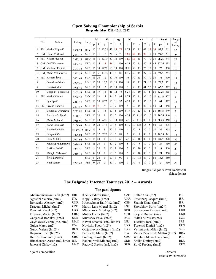|                |           |                      |          |            |          | 2#          | 3#           |    |                | eg  | h#             |    | n#       |    | s#           |    | Total |     | Change         |
|----------------|-----------|----------------------|----------|------------|----------|-------------|--------------|----|----------------|-----|----------------|----|----------|----|--------------|----|-------|-----|----------------|
|                | Tit       | Solver               | Rating   | Cntrv      | p        | T           | p            | T  | $\mathbf{p}$   | T   | p              | T  | p        | T  | p            | T  | pts   | T   | of<br>Rating   |
| $\mathbf{1}$   | IM        | Marko Filipović      | 2530,24  | <b>HRV</b> | 15       | 12          | 13,75        | 43 | 15             | 70  | 8.75           | 50 | 15       | 47 | 15           | 39 | 82,5  | 261 | 22             |
| $\overline{2}$ | GM        | Bojan Vučković       | 2647,77  | <b>SRB</b> | 15       | 11          | 12           | 24 | 15             | 76  | 12.5           | 50 | 15       | 20 | 10           | 50 | 79,5  | 231 | $-9$           |
| 3              | <b>FM</b> | Nikola Predrag       | 2383,15  | <b>HRV</b> | 15       | 18          | 13,75        | 60 | 12             | 100 | 12,5           | 50 | 15       | 70 | 10           | 50 | 78,25 | 348 | 37             |
| $\overline{4}$ | <b>GM</b> | Dolf Wissmann        | 2454,55  | <b>NLD</b> | 15       | 16          | 15           | 41 | 11             | 100 | 6,25           | 50 | 15       | 40 | 15           | 45 | 77,25 | 292 | 21             |
| 5              | <b>GM</b> | Vladimir Podinić     | 2583,33  | <b>SRB</b> | 15       | 14          | 8.75         | 60 | 10             | 100 | 11,25          | 50 | 15       | 26 | 15           | 50 | 75    | 300 | $-10$          |
| 6              | <b>GM</b> | Milan Velimirović    | 2522,34  | <b>SRB</b> | 15       | 9           | 13,75        | 40 | 6              | 87  | 8.75           | 50 | 15       | 27 | 15           | 40 | 73,5  | 253 | $-3$           |
| 7              | <b>FM</b> | Klemen Šivic         | 2401,68  | <b>SVN</b> | 15       | 20          | 12           | 60 | 10             | 100 | 10             | 50 | 15       | 50 | 10           | 50 | 72    | 330 | 15             |
| 8              |           | Dinu-Ioan Nicula     | 2279,45  | <b>ROU</b> | 15       | 20          | 10.5         | 60 | 10             | 100 | 10             | 50 | 15       | 71 | 10           | 50 | 70.5  | 351 | 33             |
| 9              |           | Branko Grbić         | 1980,40  | <b>SRB</b> | 15       | 20          | 13           | 56 | 10             | 100 | 3              | 50 | 15       | 41 | 6,5          | 50 | 62,5  | 317 | 65             |
| 10             |           | Goran M. Todorović   | 2207,54  | <b>SRB</b> | 15       | 19          | 14           | 41 | 12             | 75  | 6,25           | 50 | 10       | 80 | 5            | 50 | 62,25 | 315 | 22             |
| 11             | <b>FM</b> | Marko Klasinc        | 2296,30  | <b>SVN</b> | 10       | 20          | 13           | 54 | 5              | 98  | 8.75           | 50 | 15       | 35 | 10           | 50 | 61,75 | 307 | 4              |
| 12             |           | Igor Spirić          | 2211,49  | <b>SRB</b> | 10       | 20          | 8.75         | 60 | 11             | 92  | 6,25           | 50 | 15       | 55 | 10           | 50 | 61    | 327 | 18             |
| 13             | <b>FM</b> | Srećko Radović       | 2297,87  | <b>SRB</b> | 15       | 8           | 4            | 60 | $\tau$         | 100 | 5              | 50 | 15       | 80 | 15           | 50 | 61    | 348 | $\mathbf{1}$   |
| 14             |           | Branislav Djurašević | 2273,86  | <b>SRB</b> | 15       | $\mathbf Q$ | 13           | 60 | 5              | 100 | 8.75           | 50 | 13       | 80 | 5            | 50 | 59,75 | 349 | $\overline{2}$ |
| 15             |           | Borislav Gadjanski   | 2140.11  | <b>SRB</b> | 15       | 20          | 8            | 60 | $\theta$       | 100 | 6,25           | 50 | 11,5     | 80 | 10           | 50 | 50,75 | 360 | $\theta$       |
| 16             |           | Mirko Miljanić       | 1918,91  | <b>SRB</b> | 15       | 20          | 6,25         | 60 | 10             | 100 | 7,5            | 50 | 11,5     | 80 | $\mathbf{0}$ | 50 | 50,25 | 360 | 40             |
| 17             |           | Zoran Sibinović      | 2109.03  | <b>SRB</b> | 15       | 20          | 3.75         | 60 | 5              | 100 | 8,75           | 50 | 12,5     | 55 | 5            | 50 | 50    | 335 | $\overline{4}$ |
| 18             |           | Branko Udovčić       | H1869,57 | <b>HRV</b> | 15       | 15          | 8            | 60 | $\overline{7}$ | 100 | $\overline{4}$ | 50 | 5        | 80 | $\theta$     | 50 | 39    | 355 | $\blacksquare$ |
| 19             |           | Dragan Čiča          | 1875,04  | <b>SRB</b> | 15       | 12          | 7.25         | 60 | 6              | 89  | 5              | 50 | 5        | 80 | $\theta$     | 50 | 38,25 | 341 | 13             |
| 20             |           | Dean Miletić         | 2097,94  | <b>SRB</b> | 15       | 20          | $\mathbf{0}$ | 60 | 5              | 68  | 7,5            | 50 | 10       | 80 | $\theta$     | 50 | 37,5  | 328 | $-32$          |
| 21             |           | Miodrag Radomirović  | 2080,83  | <b>SRB</b> | 15       | 20          | $\theta$     | 60 | $\overline{2}$ | 100 | 5              | 50 | 5        | 80 | $\theta$     | 50 | 27    | 360 | $-60$          |
| 22             |           | Božidar Šoškić       | 1933,31  | <b>SRB</b> | 5        | 20          | $\theta$     | 60 | $\overline{7}$ | 100 | 3              | 50 | 10       | 80 | $\theta$     | 50 | 25    | 360 | $-38$          |
| 23             |           | Mihajlo Milanović    | 2015,10  | <b>SRB</b> | $\theta$ | 20          | $\theta$     | 60 | 6              | 100 | 5              | 50 | 10       | 80 | $\theta$     | 50 | 21    | 360 | $-66$          |
| 24             |           | Živojin Perović      |          | <b>SRB</b> | 5        | 20          | $\mathbf{0}$ | 60 | 6              | 90  | 3              | 50 | 1.5      | 80 | $\mathbf{0}$ | 50 | 15,5  | 350 |                |
| 25             |           | Neal Turner          | 1795,40  | <b>FIN</b> | $\theta$ | 20          | 3            | 60 | $\theta$       | 100 | $\theta$       | 50 | $\theta$ | 80 | $\theta$     | 50 | 3     | 360 | $-78$          |

## **Open Solving Championship of Serbia Belgrade, May 12th–13th, 2012**

Judges: Gligor & Ivan Denkovski (Macedonia)

## **The Belgrade Internet Tourneys 2012 – Awards**

## **The participants**

| Abdurahmanović Fadil (hm2)      | BIH        | Kočí Vladimír (hm2)        | <b>CZE</b> | Retter Yosi (m2)               | <b>ISR</b> |
|---------------------------------|------------|----------------------------|------------|--------------------------------|------------|
| Agostini Valerio (hm2)          | <b>ITA</b> | Kopyl Valery (hm2)         | UKR        | Rotenberg Jacques (hm2)        | <b>ISR</b> |
| Borisenko Aleksey (hm2)         | <b>UKR</b> | Kraetschmer Ralf (m2, hm2) | <b>GER</b> | Shamir Shaul (hm2)             | <b>ISR</b> |
| Dragoun Michal (hm2)            | <b>CZE</b> | Martin Luis Miguel (hm2)   | ESP        | Shorokhov Boris (hm2*)         | <b>RUS</b> |
| Dyachuk Vasyl (m2)              | UKR        | Mladenović Miodrag (m2)    | <b>SRB</b> | Semenenko Valery (hm2)         | <b>UKR</b> |
| Filipović Marko (hm2)           | <b>CRO</b> | Müller Dieter (hm2)        | <b>GER</b> | Stojnić Dragan (m2)            | <b>UKR</b> |
| Gadianski Borislav (hm2)        | <b>SRB</b> | Murashev Pavel $(m2^*)$    | <b>RUS</b> | Svitek Miroslav (m2)           | <b>CZE</b> |
| Gavrilovski Zoran (m2, hm2)     | MAC        | Navon Emanuel (m2, hm2*)   | <b>ISR</b> | Tucakov Joza (hm2)             | <b>SRB</b> |
| Guida Marco (m2)                | <b>ITA</b> | Novitsky Pyotr $(m2^*)$    | <b>UKR</b> | Turevski Dmitri (hm2)          | <b>RUS</b> |
| Gurov Valerij (hm2*)            | <b>RUS</b> | Obliashevsky Grigory (hm2) | <b>UKR</b> | Velimirović Milan (hm2)        | <b>SRB</b> |
| Haymann Jean (hm2*)             | <b>ISR</b> | Parrinello Mario (hm2)     | <b>ITA</b> | Vieira Ricardo de Mattos (hm2) | <b>BRA</b> |
| Hernitz Zvonimir (hm2)          | <b>CRO</b> | Predrag Nikola (hm2)       | <b>CRO</b> | Witztum Menachem (hm2)         | <b>ISR</b> |
| Hirschenson Aaron (m2, hm2) ISR |            | Radomirović Miodrag (m2)   | <b>SRB</b> | Zhilko Dmitry (hm2)            | <b>BLR</b> |
| Janevski Živko (m2)             | MAC        | Radović Srećko (m2, hm2)   | <b>SRB</b> | Žuvić Predrag (hm2)            | <b>CRO</b> |
|                                 |            |                            |            |                                |            |

**\*** joint composition Director

Branislav Đurašević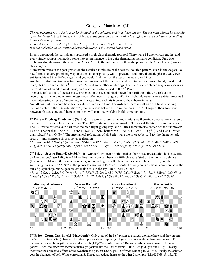#### **Group A – Mate in two (#2)**

*The set variation (1…a 2.A#) is to be changed in the solution, and in at least one try. The set-mate should be possible after the thematic black defence (1…a) in the subsequent phases, but refuted in different ways each time, according to the following pattern:* 

*1…a 2.A# 1.X! 1…a 2.B# (2.A? but 2…p!) 1.Y? 1…a 2.C# (2.A? but 2…r!) It is not forbidden to use multiple black refutations in the second black move.* 

In only one month the participants produced a high-class thematic tourney! There were 14 anonymous entries, and every single composition added some interesting nuance to the quite demanding thematic condition. Only two problems slightly missed the award: in A8 (Kf6-Kd4) the solution isn't thematic phase, while A9 (Kf7-Ke5) uses a checking try.

Many twomovers in the past presented the required minimum of the set+try+solution pattern, even in the Zagoruiko 3x2 form. The very promising way to claim some originality was to present 4 and more thematic phases. Only two entries achieved this difficult goal, and you could find them on the top of the award rankings.

Another fruitful direction was to change the functions of the thematic mates (into the first move, threat, transferred mate, etc) as we see in the  $3<sup>rd</sup>$  Prize,  $3<sup>rd</sup>$  HM, and some other renderings. Thematic black defence may also appear as the refutation of an additional phase, as it was successfully used in the  $4<sup>th</sup>$  Prize.

Thematic refutations of the set mate, presented in the second black move (let's call them the  $B2$  refutation", according to the helpmate terminology) most often used an unguard of a BK flight. However, some entries presented more interesting effects of unpinning, or line-opening, and this increased their thematic value.

Not all possibilities could have been exploited in a short time. For instance, there is still an open field of adding thematic value to the "B2 refutations" (inter-relations between "B2 refutation-moves", change of their functions between phases, etc), and I hope composers will continue working in this direction, too.

**1st Prize – Miodrag Mladenović (Serbia).** The winner presents the most intensive thematic combination, changing the thematic mate not less than 5 times. The "B2 refutations" use unguard of 3 diagonal flights + opening of a black line. All white officers take part after the nice flight-giving key, and all tries show precise choice of the first moves: 1.Sa6? is better than 1.Sd7?? (1...cd6! 1...Kc6!); 1.Se6? better than 1.S:e4?? (1...cd6! 1...Q:f3!); and 1.ed4? better than 1.B:d4?? (1...Q:f3+!) The mechanical refutations of all 3 tries were the price to be paid for the thematic taskrecord – until someone finds a better realization.

*\*1…cd6 2.fe4#, 1.Sa6? (2.Qc5#) cd6 2.Sb4# (2.fe4? K:c6!) 1....K:c6!, 1.ed4? (2.Qc5#) cd6 2.c4# (2.fe4? R:e4!) 1...Q:d4!, 1.Se6? (2.Qc5#) cd6 2.Sf4# (2.fe4? K:e4!) 1....ef3!, 1.b4! (2.Qc5#) cd6 2.Qa2# (2.fe4? Kc4!)* 

**2nd Prize – Srećko Radović (Serbia).** This wonderfully open position makes four-phase presentation look easy (the  $B2$  refutations" use 2 flights + 1 black line). As a bonus, there is a fifth phase, refuted by the thematic defence (1.Re4? c5!). Most of the play appears elegant, including line effects of the Levman defence 1…c5, and the surprising roles of Re2 & Sc2 in the pinnacle variation 1.Be2! c5 2.Bc4#! The only constructional compromise is the out-of-play bishop, but he gets his other fine role in the try 1.Re6? Ke6 2.Q:c6#

*\*1... c5 2.Qe4#, 1.Re4? (2.Qc4#) 1... c5!, 1.Sa3? (2.Qc4#) c5 2.Qd7# (2.Qe4? B:e4!) 1... Bd3!, 1.Re6? (2.Qc6#) c5 2.Rd6# (2.Qe4? K:e6!),1... K~ 2.Qc6# 1... B:c2!, 1.Be2! (2.Qc4#) c5 2.Bc4# (2.Qe4? K:e4!) 1... Kc5 2.Qc4#* 



**3rd Prize – Zoran Gavrilovski (Macedonia).** Only 3 out of the 8 (!) phases are strictly thematic here, and they present the Set + Le Grand (3x1) change. The other 5 phases show surprisingly logical relations with the basic mechanism. First, the simple pair of the key-threat reversal attempts  $(1.Bg6? \sim 2.6#; 1.6? \sim 2.Bg6#)$  puts the set-mate into the Urania pattern. Then, the other two thematic mates get packed into the Barnes form:  $1. Bf6? \sim 2. Qf3/Qg4#$  but  $1...g4!$  This try motivates the corrective effects of the two thematic phases: 1.Sd7? g4!? 2.Sf6# & 1.Rd5! g4!? 2.Rd4#. Finally, the solution gets the character of both White correction & Threat correction, thanks to the other 2 attempts (1.Rc6? Rd8! & 1.Rd7!?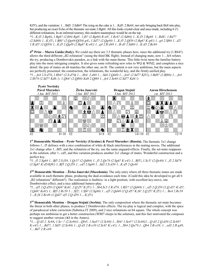Kf5!), and the variation: 1…Bd5: 2.Sd6#! The icing on the cake is 1…Kd5: 2.Bc6#, not only bringing back Be8 into play, but producing an exact Echo of the thematic set-mate 2.Bg6#. All this looks crystal-clear and easy-made, including 6 (!) different refutations. In an informal tourney, this modern masterpiece would be on the top.

*\*1...K:f5 2.Bg6#, 1.Bg6? (2.f6#) Rg8!, 1.f6? (2.Bg6#) R:e8!, 1.Rc6? (2.Sd6#) 1...K:f5 2.Bg6# 1...Rd8!, 1.Rd7? (2.Sd6#) 1...K:f5!, 1.Bf6? (2.Qg4#/Qf3#) g4!, 1.Sd7? (2.Qg4#) 1...K:f5 2.Qf3# (2.Bg6? K:g6!) 1...g4 2.Sf6# 1...d2! 1.R:d5! (2.Qf3#) 1...K:f5 2.Qg4# (2.Bg6? K:e6!) 1...g4 2.R:d4# 1...B:d5 2.Sd6# 1...K:d5 2.Bc6#* 

**4th Prize – Marco Guida (Italy).** We could say there are 3.5 thematic phases here, since the additional try (1.Rb4?) allows the third different  $B2$  refutation" (using the third BK flight). Instead of changing mate, now 1…fe4 refutes the try, producing a Dombrovskis paradox, as a link with the main theme. This little twist turns the familiar battery play into the more intriguing complex. It also gives some refreshing new roles to WQ & WPd2, and completes a nice detail: the pair of mates on d4 matches the other one, on f6. The content is not very ambitious, but the main aspects are perfectly presented: the construction, the refutations, the wonderful key, and the firmly unified play. *\*1….fe4 2.S:d7#, 1.Rb4? (2.S:d7#) 1….Sb4: 2.d4# 1….Sd4 2.Qd4# 1….fe4! (2.Sd7? Kf5!), 1.Bd8? (2.Bf6#) 1….fe4 2.Sb7# (2.Sd7? Kd6:!), 1.Qh4! (2.Qf6#) Kd4 2.Qf6# 1…fe4 2.Se6# (2.Sd7? Kd4:!)* 



**1st Honourable Mention – Pyotr Novicky (Ukraine) & Pavel Murashev (Russia).** The thematic 3x1 change follows 1...f5 defence with a nice combination of white & black interferences in the mating moves. The additional 2x1 change after 1...Bf5, and the refutation of the try, use the same unguard-effects. Finally, the set-mate reappears in the solution, after 1...cd5, and this variation produces another 2x1 change of mates. Wonderful construction and a perfect key.

*\*1.. f5 2.Sg6# 1...Bf5 2.S:f3#, 1.Qc5? (2.Qd6#) 1...f5 2.Qe7# (2.Sg6? K:e4!) 1...Bf5!, 1.Sc5! (2.Qe4#) 1...f5 2.Sd7# (2.Sg6? K:d5/Kf6!) 1..Bf5 2.Q:f5# 1...cd5 2.Sg6# 1...Sd3 2.S:d3# 1...K:d5 2.Qe4#* 

**2nd Honourable Mention – Živko Janevski (Macedonia).** The only entry where all three thematic mates are made available in each thematic phase, producing the dual-avoidance each time. (Could this idea be developed to get all 6 "B2 refutations" different?). The realization is faultless: in a light position, with excellent key-move, one Dombrovskis effect, and a nice additional battery-play.

*\*1…ef5 2.Q:d5# (2.Qd4? Ke6!, 2.Q:f5? K:f5!) 1…Sb4,Sc5 2.R:d7#, 1.Rf1? (2.Qd4#) 1…ef5 2.Q:f5# (2.Q:d5? K:d5!, 2.Qd4? Ke6!) 1...Bf3 2.Rc5# 1….Sf2!, 1.Sf4! (2.Sg6#) 1…ef5 2.Qd4# (2.Q:d5? K:f4! 2.Q:f5? K:f5!) 1… Be4 2.Rc5# 1…K:f4 2.Rc4# (1.Qd2? ef5 2.Q:d5# 1….K:f5!)* 

**3rd Honourable Mention – Dragan Stojnić (Serbia).** The only composition where the thematic set-mate becomes the threat in both other phases, to produce 2 Dombrovskis effects. The try-play is logical and complex, with the spice of paradoxical white correction (Subotica IT 2009), and 2 nice refutations on b4 square. The whole concept was perhaps too ambitious to get a better construction (WBf7 sleeps in the solution), and this fact motivated the composer to suggest another version (**A1** in the Annex).

*\*1….Q:d3 2. Sc6#, 1.Sc~? (2.Sc6#)1...Qb4!, 1.Sa4?! (2.Sc6#) 1...Sb4! 1.Se4!? (2.Sc6#)1…Q:d3 2.Q;d3# (2.Sc6#? K:e4!) 1....Bd7!, 1.Sd5! (2.Sc6#) 1…Q:d3 2.B:e3# (2.Sc6? K:c4!), 1…Sb4 2.Qa7#,1...Qb4 2.B:e3#, 1....ed3 2.R:g4#, 1....Bd7 2.R:e4#*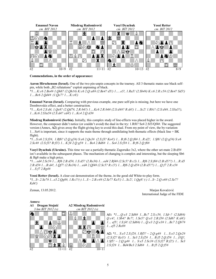

#### **Commendations, in the order of appearance:**

**Aaron Hirschenson (Israel).** One of the two pin-unpin concepts in the tourney. All 3 thematic mates use black selfpin, while both "B2 refutations" exploit unpinning of black.

*\*1….K:c6 2.Be4# 1.Qh8? (2.Qh1#) K:c6 2.Q:a8# (2.Be4? d5!) 1…..e5!, 1.Ra5! (2.Sb4#) K:c6 2.R:c5# (2.Be4? Sd5!) 1….Bc6 2.Qd4# (1.Qe7? 1….K:c6!)* 

**Emanuel Navon (Israel).** Comparing with previous example, one pure self-pin is missing, but here we have one Dombrovskis effect, and a better construction.

*\*1….Kc6 2.S:d4, 1.Qe8? (2.Qd7#, 2.R:b6?) 1….Kc6 2.R:b6# (2.S:d4#? R:d4!) 1….Sc2! 1.Rb1! (2.S:d4#, 2.S3a5?), 1…Kc6 2.S3a5# (2.S:d4? cd4!) 1…Kc4 2.Q:d3#* 

**Miodrag Radomirović (Serbia).** Initially, this complex study of line-effects was placed higher in the award. However, the composer didn't notice (or couldn't avoid) the dual in the try: 1.Rf6? Se4 2.Sf3/Qf4#. The suggested version (Annex, **A2**) gives away the flight-giving key to avoid this dual. From my point of view, the by-variation 1…Se4 is important, since it supports the main theme through annihilating both thematic effects (black line + BK flight).

*\*1…S:e6 2.S:f3#, 1.Rf6? (2.Q:g5#) S:e6 2.Qe3# (2.S:f3? Ke4!) 1... B:f6 2.Q:f6# 1...R:d2!, 1.Sf6! (2.Q:g5#) S:e6 2.Sc4# (2.S:f3? B:f3!) 1... K:f4 2.Q:g5# 1... Be4 2.Bd6# 1... Se4 2.S:f3# 1... B:f6 2.Q:f6#* 

**Vasyl Dyachuk (Ukraine).** This time we see a partially thematic Zagoruiko 3x2, where the other set-mate 2.B:d5# isn't available in the subsequent phases. The mechanism of changing is complex and interesting, but the sleeping Sb6 & Bg8 make a high price.

*\*1….ed4 2.Sc5# 1….Rf6 2.B:d5#, 1.S:d5? (2.Re3#) 1....ed4 2.Rf4# (2.Sc5? B:c5) 1....Rf6 2.S:f6# (2.B:d5??) 1....R:d5 2.B:d5# 1....B:d4!, 1.Qf7! (2.Re3#) 1....ed4 2.Qf4# (2.Sc5? R:c5!) 1....Rf6 2.Q:d5# (2.B:d5??) 1....Q:f7 2.R:e5# 1....S:f7 2.Rg4#* 

**Yossi Retter (Israel).** A clear-cut demonstration of the theme, in the good old White-to-play form. *\*1...S~.2.Se7# 1...e5.2.Qg8#, 1.Rc1?(-) 1...S ~ 2.B:c4# (2.Se7? Ke5!) 1...Sc2!, 1.Qg8! (-) 1...S~ 2.Q:e6# (2.Se7? Kd4!)* 

Zemun, 13.05.2012. Marjan Kovačević International Judge of the FIDE





**A1:** *\*1….Q:e3 2.Sd6# 1...Bc7 2.S:c5#, 1.Sd~? (2.Sd6#) Q:c4!, 1.Sb4? Bc7!, 1.Se5? Q:e3 2.B:f3# (2.Sd6? K:d4!) 1… ef5!, 1.S:f4! (2.Sd6#) 1…Q:e3 2.Q:e3# 1…Bc7 2.Qb7# 1…ef5 2.Re8#* 

**A2:** *\*1... S:e5 2.S:f2#, 1.Rf5? ~ 2.Q:g4# 1... S:e5 2.Qe2# (2.S:f2? Ke3!) 1... Se3 2.S:f2# 1... B:f5 2.Q:f5# 1... f1Q!, 1.Sf5! ~ 2.Q:g4# 1... S:e5 2.Sc3# (2.S:f2? B:f2!) 1... Se3 2.S:f2# 1... Bd4/Be3 2.Sd6# 1... B:f5 2.Q:f5#*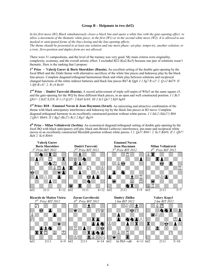## **Group B – Helpmate in two (h#2)**

*In his first move (B1) Black simultaneously closes a black line and opens a white line with the gate-opening effect: to allow a movement of the thematic white piece, in the first (W1) or in the second white move (W2). It is allowed to use masked or anticipated forms of the line-closing and the line-opening effects.* 

*The theme should be presented in at least one solution and one more phase: set-play, tempo-try, another solution, or a twin. Zero-position and duplex form are not allowed.* 

There were 31 compositions, and the level of the tourney was very good. My main criteria were originality, complexity, economy, and the overall artistic effect. I excluded B22 (Ka2-Ke5) because one pair of solutions wasn't thematic. Here is the ranking that I propose:

**1st Prize – Valerij Gurov & Boris Shorokhov (Russia).** An excellent setting of the double gate-opening by the focal BSe6 and the Zilahi theme with alternative sacrifices of the white line pieces and hideaway play by the black line-pieces. Complete diagonal/orthogonal harmonious black and white play between solutions and reciprocal changed functions of the white indirect batteries and black line pieces Rh7 & Qg4. *I 1.Sg7 R:e2! 2. Q:e2 Bd7# II 1.Sf4 B:c8! 2. R:c8 Re4#*

**2nd Prize – Dmitri Turevski (Russia).** A record achievement of triple self-unpin of WSe5 on the same square c5, and the gate-opening for the WQ by three different black pieces, in an open and well constructed position. *I 1.Bc5 Qb3+ 2.Kd2 S:f3#; II 1.c5 Q:f3+ 2.Kd4 Sc6#; III 1.Sc5 Qe7 2.Kf4 Sg6#*

**3rd Prize: B18 – Emanuel Navon & Jean Haymann (Israel).** An interesting and attractive combination of the theme with black anticipatory interference and hideaway lay by the black line pieces in B2 move. Complete diagonal/orthogonal harmony in an excellently constructed position without white pawns. *I 1.Sdc2 (Sde2?) Bb6 2.Qb1! Rh6#; II 1.Bg2 (Be2?) Rc3 2.Rg1! Bg3#* 

**4th Prize – Milan Velimirović (Serbia).** An economical diagonal/orthogonal setting of double gate-opening by the focal BQ with black anticipatory self-pin, black anti-Bristol Leibovici interference, pin-mate and reciprocal white moves in an excellently constructed Meredith position without white pawns. *I 1. Qe5! Rb6+ 2. Kc5 Bd4#; II 1. Qb7! Bd4 2. Kc6 Rb6#*.

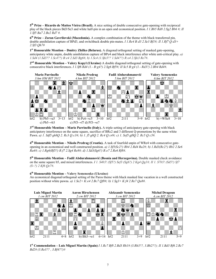**5th Prize – Ricardo de Mattos Vieira (Brazil).** A nice setting of double consecutive gate-opening with reciprocal play of the black pieces Bd3/Se3 and white half-pin in an open and economical position. *I 1.Bb5 Rd8 2.Sg2 Bb6 #; II 1.Sf5 Ba7 2.Be2 Rd7 #.* 

**6th Prize – Zoran Gavrilovski (Macedonia).** A complex combination of the theme with black transferred pin, double annihilation capture of BPd3, and switchback double pin-mates. *I 1.Re4 B:d3 2.Se3 Bf1#; II 1.Rf7 Q:d3+ 2.Sf3 Qh7#* 

**1st Honourable Mention – Dmitry Zhilko (Belarus).** A diagonal/orthogonal setting of masked gate-opening, anticipatory white unpin, double annihilation capture of BPe4 and black interference after white anti-critical play. *a) 1.Sd4 (1.Sd3?? 1.Sc4??) B:e4 2.Sd3 Bg6#, b) 1.Sc4 (1.Sfe3?? 1.Sd4??) R:e4 2.Sfe3 Re7#*.

**2nd Honourable Mention – Valery Kopyl (Ukraine)** A double diagonal/orthogonal setting of gate-opening with consecutive black interferences. *I 1.Sf6 Rd4 (1.- B:g4?) 2.Sg6 Bf5#; II Sc5 B:g4 (1.- Rd3?) 2.Bb4 Rd4#*.



**3rd Honourable Mention – Mario Parrinello (Italy).** A triple setting of anticipatory gate-opening with black anticipatory interference on the same square, sacrifice of BRc2 and 3 different Q-promotions by the same white Pawn. *a) 1. Sdf5 gh8Q 2. Rc3 Q:c3#; b) 1. f5 g8Q 2. Rc4 Q:c4#; c) 1. Sef5 gf8Q 2. Rc5 Q:c5#.* 

**4th Honourable Mention – Nikola Predrag (Croatia).** A task of fourfold unpin of WRe4 with consecutive gateopening in an economical and well constructed position. *a) 1.Sf5(Sc2?) Rb4 2.Rd4 Ra2#; b) 1.Rd3(Rc2?) Rb2 2.Se6 Ra4#; c) 1.Rg6(Rf5?) R:f7 2.Sg4 Re8#; d) 1.Sd3(Sg6?) R:e7 2.Re6 Rf8#*.

**5th Honourable Mention – Fadil Abdurahmanović (Bosnia and Herzegovina).** Double masked check avoidance on the same square b5, and mixed interferences. *I 1. S4b5! (Sf5?) Sef3 (Sg6?) 2 Kg4 Qg1#; II 1. S7b5! (Sd5?) Sf7 (S~?) 2 Kf6 Qe7#*.

## **6th Honourable Mention – Valery Semenenko (Ukraine)**

An economical diagonal/orthogonal setting of the Paros theme with black masked line vacation in a well constructed position without white pawns. *a) 1.Se2+ K:e4 2.Bc7 Qf8#; b) 1.Sg3+ K:f4 2.Re7 Qa8#*.



**1st Commendation – Luis Miguel Martin (Spain)** *I 1.Rc7 Bf8 2.Bd3 Rh1# (3.Rh3??, 3.Bh2??); II 1.Bd3 Rf6 2.Rc7 Bd2# (3.Re3?? , 3.Bf4??)#*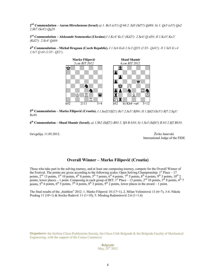**2nd Commendation – Aaron Hirschenson (Israel)** *a) 1. Be5 (e5?) Q:b6 2. Sd3 (Sd7?) Qd8#; b) 1. Qe5 (e5?) Qa2 2.Sb7 (Se4?) Qg2#* 

**3rd Commendation – Aleksandr Semenenko (Ukraine)** *I 1.Kc4! Kc1! (Kd2?) 2.Se4! Q:d3#; II 1.Ke5! Ke1! (Kd2?) 2.Sc4! Qd4#* 

**4th Commendation – Michal Dragoun (Czech Republic).** *I 1.Se6 Ka6 2.Sc3 Qf2# (2.S5~ Qd4?); II 1.Sd3 K:c4 2.Se7 Q:d4 (2.S5~ Qf2?).* 



**5th Commendation – Marko Filipović (Croatia).** *I 1.Sed2!(Sf2?) Re7 2.Se5! Rf8#; II 1.Sfd2!(Se5?) Rf7 2.Sg3! Re8#.* 

**6th Commendation – Shaul Shamir (Israel).** *a) 1.Sb2 (Sdf2?) Bb5 2. Sf4 R:b3#; b) 1.Se5 (Sdf4?) R:b3 2.Sf2 Bb5#.* 

Gevgelija, 11.05.2012. Živko Janevski

International Judge of the FIDE

## **Overall Winner – Marko Filipović (Croatia)**

Those who take part in the solving tourney, and at least one composing tourney, compete for the Overall Winner of the Festival. The points are given according to the following scales: Open Solving Championship:  $1<sup>st</sup>$  Place – 17 points, 2<sup>nd</sup> 13 points, 3<sup>rd</sup> 10 points, 4<sup>th</sup> 8 points, 5<sup>th</sup> 7 points, 6<sup>th</sup> 6 points, 7<sup>th</sup> 5 points, 8<sup>th</sup> 4 points, 9<sup>th</sup> 3 points, 10<sup>th</sup> 2 points, lower places – 1 point. Composing in each group of BIT:  $1^{\text{st}}$  Place – 13 points,  $2^{\text{nd}}$  10 points,  $3^{\text{rd}}$  8 points,  $4^{\text{th}}$  7 points,  $5<sup>th</sup>$  6 points,  $6<sup>th</sup>$  5 points,  $7<sup>th</sup>$  4 points,  $8<sup>th</sup>$  3 points,  $9<sup>th</sup>$  2 points, lower places in the award – 1 point.

The final results of the "biathlon" 2012: 1. Marko Filipović 18 (17+1), 2. Milan Velimirović 13 (6+7), 3-4. Nikola Predrag 11 (10+1) & Srećko Radović 11 (1+10), 5. Miodrag Radomirović 2.6 (1+1.6)

**Organizers:** the Serbian Chess Problemists Society, the Chess Club Belgrade & the Belgrade Faculty of Mechanical Engineering, with the support of the Caissa Commerce

> **Belgrade**  May,  $25^{th}$  2012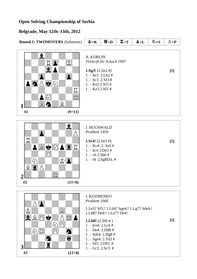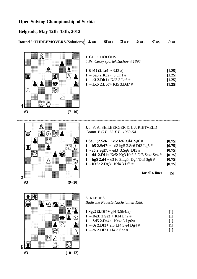| <b>Round 2: THREEMOVERS (Solutions)</b> |                 | $\mathbf{F} = \mathbf{K}$ | $\mathbf{W}_{\mathbf{D}}$                                                                                                                                                                                                                                                                                                                | $\Xi = T$ | $\mathbf{\hat{z}} = \mathbf{L}$ | $\delta$ =S     | $\Delta = P$                                                                 |
|-----------------------------------------|-----------------|---------------------------|------------------------------------------------------------------------------------------------------------------------------------------------------------------------------------------------------------------------------------------------------------------------------------------------------------------------------------------|-----------|---------------------------------|-----------------|------------------------------------------------------------------------------|
| #3                                      | $(7+10)$        |                           | <b>J. CHOCHOLOUS</b><br>4 Pr. Cesky sportek šachovni 1895<br><b>1.Kb1!</b> $(2. Lc1 \sim 3. f3 \#)$<br>1. $-$ ba3 2.Kc2 $\sim$ 3.Dh1 #<br>1. - c3 2.Dh1+ Kd3 3.La6 #<br>$1. -$ Lc5 2.Lb7+ Kf5 3.Dd7 #                                                                                                                                    |           |                                 |                 | [1.25]<br>[1.25]<br>[1.25]<br>[1.25]                                         |
| #3                                      | $(9+10)$        |                           | J. J. P. A. SEILBERGER & J. J. RIETVELD<br>Comm. B.C.F. 75 T.T. 1953-54<br>1.Se5! (2.Se6+ Ke5: fe6 3.d4 Sg6 #<br>1. - b5 2.Sef7: ~ ed3 hg5 3.Se6 Df3 Lg5:#<br>1. - c5 2.Sgf7: $\sim$ ed3 3.Sg6 Df3 #<br>1. - d4 2.Df1+ Ke5: Kg3 Ke3 3.Df5 Se4: Sc4 #<br>1. - hg5 $2. d4 \sim e3$ f6 3.Lg5: Dg4/Df3 Sg6 #<br>1. - Ke5: 2.Dg3+ Kd4 3.Lf6 # |           |                                 | for all 6 lines | [0.75]<br>[0.75]<br>[0.75]<br>[0.75]<br>[0.75]<br>[0.75]<br>$\left[5\right]$ |
| #3                                      | řЭ<br>$(10+12)$ | <b>S. KLEBES</b>          | Badische Neueste Nachrichten 1980<br>1.Sg2! $(2.Df4 + gf4 3.Sh4:#)$<br>1. - De3: 2.Se3:+ Kf4 Lh2 #<br>1. - Sd5 2.De4:+ Ke4: 3.Lg6:#<br>1. $-$ c6 2.Df3+ ef3 Lf4 3.e4 Dg4 #<br>1. $-c5$ 2.Df2+ Lf4 3.Se3 #                                                                                                                                |           |                                 |                 | $[1]$<br>$[1]$<br>$[1]$<br>$[1]$<br>$[1]$                                    |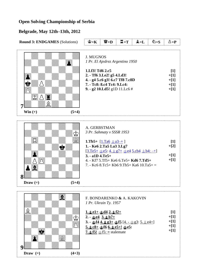| <b>Round 3: ENDGAMES (Solutions)</b> | $\mathbf{\hat{E}} = \mathbf{K}$                                                                                                                                                                      | $\mathbf{W} = \mathbf{D}$                                                                                                                                                                                                                                                                                                             | $\Xi$ =T | $\mathbf{\hat{L}} = \mathbf{L}$ | $\triangle$ =S | $\Delta = P$                                  |  |  |
|--------------------------------------|------------------------------------------------------------------------------------------------------------------------------------------------------------------------------------------------------|---------------------------------------------------------------------------------------------------------------------------------------------------------------------------------------------------------------------------------------------------------------------------------------------------------------------------------------|----------|---------------------------------|----------------|-----------------------------------------------|--|--|
| S⁄ A í<br>Win $(+)$<br>$(5+4)$       | <b>J. MUGNOS</b><br>1 Pr. El Ajedrez Argentino 1950<br>1.Lf3! Td6 2.c5<br>2. - Tf6 3.Le2! g5 4.Ld3!<br>4. - g4 5.c6 g3! 6.c7 Tf8 7.c8D<br>7. - Tc8: 8.c4 Tc4: 9.Lc4:<br>9. - g2 10.Ld5! g1D 11.Lc6 # |                                                                                                                                                                                                                                                                                                                                       |          |                                 |                |                                               |  |  |
| 8<br>$(5+4)$<br>Draw $(=)$           | A. GERBSTMAN<br>$3. -a1D 4.Te5+$                                                                                                                                                                     | 3 Pr. Sahmaty v SSSR 1953<br>1.Tb5+ $[1. Ta6 \trianglelefteq a3 + 1]$<br>1. - Ke6 2.Ta5 La3 3.Lg7<br>$[3.Te5+ \trianglelefteq c5: 4. \trianglelefteq g7+ \trianglelefteq c64 \trianglelefteq c64 \trianglelefteq b4: -+]$<br>4. - Kf7 5.Tf5+ Ke6 6.Te5+ Kd6 7.Td5+<br>7. - Kc6 8.Tc5+ Kb6 9.Tb5+ Ka6 $10.$ Ta5+ =                     |          |                                 |                | $[1]$<br>$+[2]$<br>$+[1]$<br>$+[1]$           |  |  |
| $(4+3)$<br>Draw $(=)$                | $2. - \underline{\text{det}} 3. \underline{\text{det}} 17 +$                                                                                                                                         | F. BONDARENKO & A. KAKOVIN<br>1 Pr. Ukrain Ty. 1957<br><u>1. o e 1+ o d4 2. o f2+</u><br>3. - $\underline{\text{def4}}$ 4. $\underline{\text{g}}$ g3+ $\underline{\text{def5}}$ [4. - $\underline{\text{dg3}}$ : 5. $\underline{\text{g}}$ e4=]<br>$5.208 + 25666.205 + 2025$<br>7. <b>foll</b> $\circledcirc$ for $fS$ : = stalemate |          |                                 |                | $[1]$<br>$+[1]$<br>$+[1]$<br>$+[1]$<br>$+[1]$ |  |  |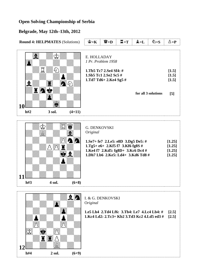|                  | <b>Round 4: HELPMATES (Solutions)</b> |          | $\mathbf{\hat{g}} = \mathbf{K}$                                                                                                                                                     | $\mathbb{W}_{=\mathbf{D}}$                                                                      | $\Xi$ =T | $\mathbf{\hat{L}} = \mathbf{L}$ | $\mathfrak{D}=\mathbf{S}$                                                                  | $\Delta = P$                     |  |
|------------------|---------------------------------------|----------|-------------------------------------------------------------------------------------------------------------------------------------------------------------------------------------|-------------------------------------------------------------------------------------------------|----------|---------------------------------|--------------------------------------------------------------------------------------------|----------------------------------|--|
| <b>10</b><br>h#2 | 3 sol.                                | $(4+11)$ | E. HOLLADAY                                                                                                                                                                         | 1 Pr. Problem 1958<br>1.Tb5 Tc7 2.Se4 Sf4: #<br>1.Sb5 Tc1 2.Se2 Sc5 #<br>1.Td7 Td6+ 2.Ke4 Sg5 # |          |                                 | for all 3 solutions                                                                        | [1.5]<br>[1.5]<br>[1.5]<br>$[5]$ |  |
| h#3              | A <i>784</i><br>4 sol.                | $(6+8)$  | <b>G. DENKOVSKI</b><br>Original<br>1.Se7+ fe7 2.Le5: e8D 3.Dg5 De5: #<br>1.Tg5+ e6+ 2.Kf5 f7 3.Kf6 fg8S #<br>1.Ke4 f7 2.Kd5: fg8D+ 3.Kc6 Dc4 #<br>1.Dh7 Lb6 2.Ke5: Ld4+ 3.Kd6 Td8 # |                                                                                                 |          |                                 |                                                                                            |                                  |  |
| h#4              | 2 sol.                                | $(6+9)$  | I. & G. DENKOVSKI<br>Original                                                                                                                                                       |                                                                                                 |          |                                 | 1.e5 Lh4 2.Td4 Lf6: 3.Tb4: Le7 4.Lc4 Lb4: #<br>1.Kc4 Ld2: 2.Tc3+ Kb2 3.Td3 Kc2 4.Ld5 ed3 # | [2.5]<br>[2.5]                   |  |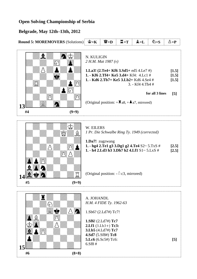|          | <b>Round 5: MOREMOVERS (Solutions)</b> | $\mathbf{S} = \mathbf{K}$                                                                                                                                                                                                                                                       | $\mathbf{W}_{\mathbf{=D}}$                                      | $\Xi$ =T | $\mathbf{\hat{Z}} = \mathbf{L}$ | ඩි= $S$ | $\Delta = P$ |  |  |
|----------|----------------------------------------|---------------------------------------------------------------------------------------------------------------------------------------------------------------------------------------------------------------------------------------------------------------------------------|-----------------------------------------------------------------|----------|---------------------------------|---------|--------------|--|--|
| 13<br>#4 | $(9+9)$                                | N. KULIGIN<br>2 H.M. Mat 1987 $(v)$<br>1.La3! $(2.Te4 + Kf6 3.Sd5 + ed5 4.Le7 \#)$<br>1. - Kf6 2.Tf4+ Ke5 3.d4+ Kf4: 4.Lc1 #<br>1. - Kd6 2.Tb7+ Ke5 3.Lb2+ Kd6 4.Se4 #<br>3. - Kf4 4.Tb4 #<br>for all 3 lines<br>(Original position: $+\Xi$ a8, $+\blacktriangle$ a7, mirrored) |                                                                 |          |                                 |         |              |  |  |
|          |                                        |                                                                                                                                                                                                                                                                                 |                                                                 |          |                                 |         |              |  |  |
|          |                                        | W. EILERS                                                                                                                                                                                                                                                                       | 1 Pr. Die Schwalbe Ring Ty. 1949 (corrected)<br>1.Da7! zugzwang |          |                                 |         |              |  |  |
|          |                                        | 1. - hg4 2.Te1 g3 3.Dg1 g2 4.Te4 S2~ 5.TxS #<br>[2.5]<br>1. $- h4 2.Ld3 h3 3.Dh7 h2 4.Lf1 S1 ~ 5.LxS #$<br>[2.5]                                                                                                                                                                |                                                                 |          |                                 |         |              |  |  |
|          |                                        | (Original position: $-\triangle$ c3, mirrored)                                                                                                                                                                                                                                  |                                                                 |          |                                 |         |              |  |  |
| #5       | $(9+9)$                                |                                                                                                                                                                                                                                                                                 |                                                                 |          |                                 |         |              |  |  |
|          | ĭ<br>$\mathbb{Z}^3$                    | A. JOHANDL                                                                                                                                                                                                                                                                      | H.M. 4 FIDE Ty. 1962-63                                         |          |                                 |         |              |  |  |
|          |                                        | 1.Sb6? (2.Ld7#) Tc7!                                                                                                                                                                                                                                                            |                                                                 |          |                                 |         |              |  |  |
|          |                                        | 1.Sf6! (2.Ld7#) Tc7                                                                                                                                                                                                                                                             |                                                                 |          |                                 |         |              |  |  |
|          |                                        | $2.Lf1(3.Lh3+) Tc3:$<br>3.Lb5 (4.Ld7#) Tc7                                                                                                                                                                                                                                      |                                                                 |          |                                 |         |              |  |  |
|          |                                        | 4.Sd7 (5.Sf8#) Tc8<br>5.Lc6 (6.Sc5#) Tc6:                                                                                                                                                                                                                                       |                                                                 |          |                                 |         |              |  |  |
| 15       |                                        | 6. Sf8#                                                                                                                                                                                                                                                                         |                                                                 |          |                                 |         | [5]          |  |  |
| #6       | $(8+8)$                                |                                                                                                                                                                                                                                                                                 |                                                                 |          |                                 |         |              |  |  |